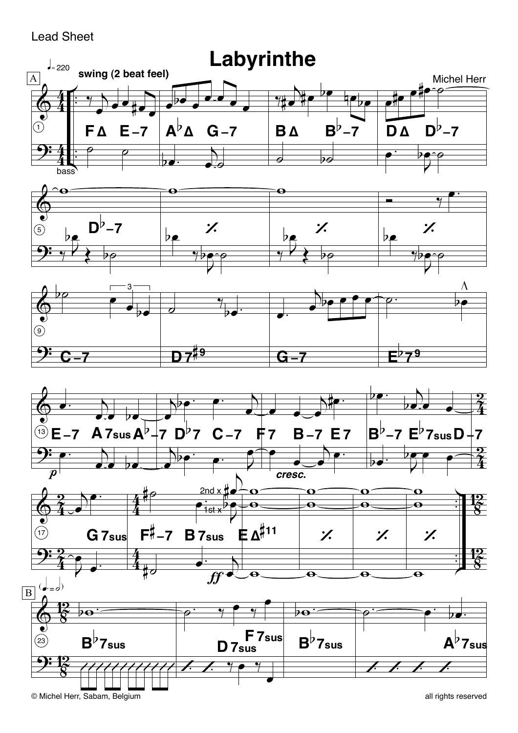## **Lead Sheet**

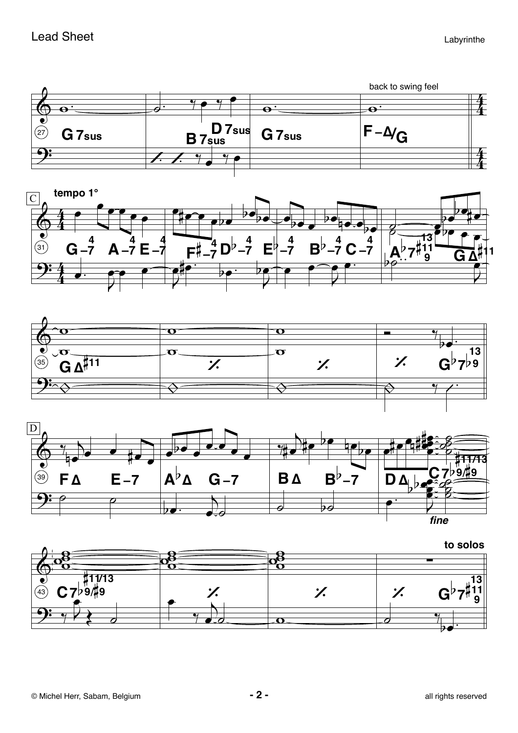